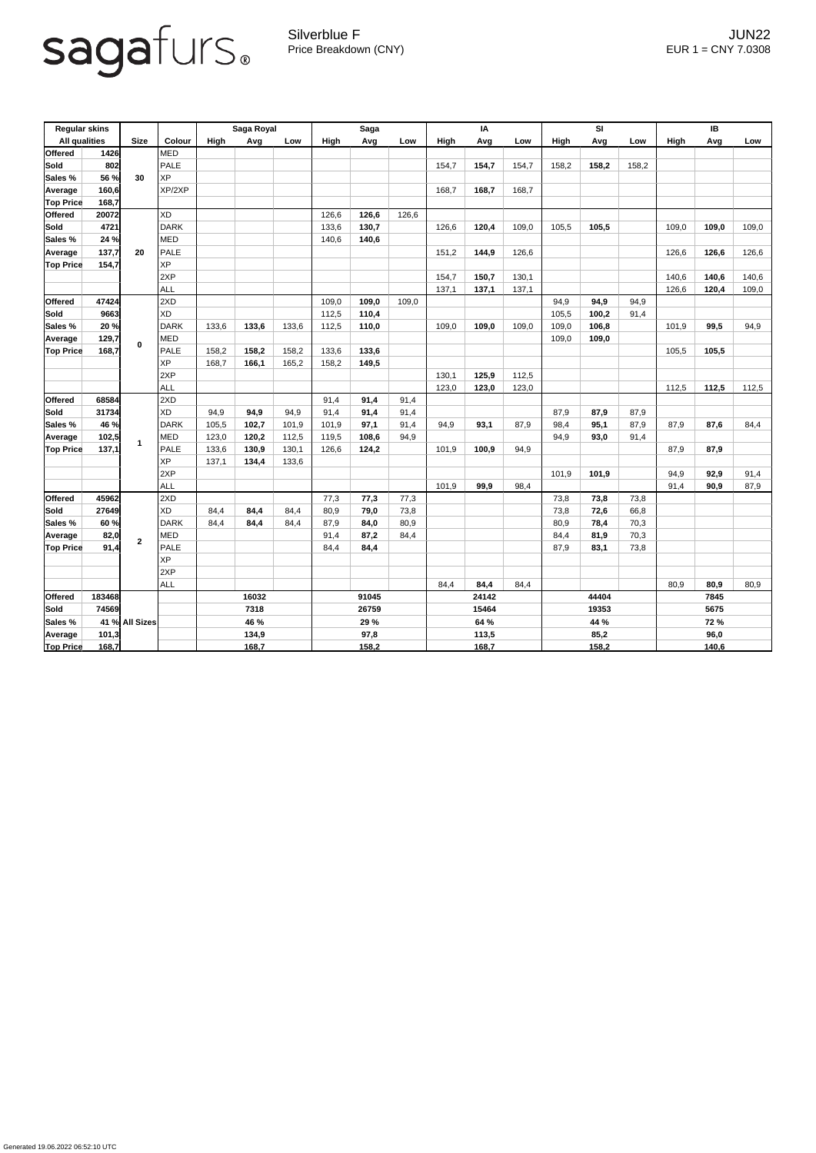

Silverblue F JUN22 Price Breakdown (CNY) EUR 1 = CNY 7.0308

| <b>Regular skins</b><br><b>All qualities</b> |        | <b>Size</b>    | Colour      | Saga Royal |       |       | Saga        |       |       | IA    |       |       | SI          |       |       | IB          |       |       |  |
|----------------------------------------------|--------|----------------|-------------|------------|-------|-------|-------------|-------|-------|-------|-------|-------|-------------|-------|-------|-------------|-------|-------|--|
|                                              |        |                |             | High       | Avg   | Low   | <b>High</b> | Avg   | Low   | High  | Avg   | Low   | <b>High</b> | Avg   | Low   | <b>High</b> | Avg   | Low   |  |
| <b>Offered</b>                               | 1426   |                | <b>MED</b>  |            |       |       |             |       |       |       |       |       |             |       |       |             |       |       |  |
| <b>Sold</b>                                  | 802    |                | <b>PALE</b> |            |       |       |             |       |       | 154,7 | 154,7 | 154,7 | 158,2       | 158,2 | 158,2 |             |       |       |  |
| <b>Sales %</b>                               | 56 %   | 30             | <b>XP</b>   |            |       |       |             |       |       |       |       |       |             |       |       |             |       |       |  |
| Average                                      | 160,6  |                | XP/2XP      |            |       |       |             |       |       | 168,7 | 168,7 | 168,7 |             |       |       |             |       |       |  |
| <b>Top Price</b>                             | 168,7  |                |             |            |       |       |             |       |       |       |       |       |             |       |       |             |       |       |  |
| <b>Offered</b>                               | 20072  | 20             | <b>XD</b>   |            |       |       | 126,6       | 126,6 | 126,6 |       |       |       |             |       |       |             |       |       |  |
| <b>Sold</b>                                  | 4721   |                | <b>DARK</b> |            |       |       | 133,6       | 130,7 |       | 126,6 | 120,4 | 109,0 | 105,5       | 105,5 |       | 109,0       | 109,0 | 109,0 |  |
| Sales %                                      | 24 %   |                | <b>MED</b>  |            |       |       | 140,6       | 140,6 |       |       |       |       |             |       |       |             |       |       |  |
| Average                                      | 137,7  |                | <b>PALE</b> |            |       |       |             |       |       | 151,2 | 144,9 | 126,6 |             |       |       | 126,6       | 126,6 | 126,6 |  |
| <b>Top Price</b>                             | 154,7  |                | <b>XP</b>   |            |       |       |             |       |       |       |       |       |             |       |       |             |       |       |  |
|                                              |        |                | 2XP         |            |       |       |             |       |       | 154,7 | 150,7 | 130,1 |             |       |       | 140,6       | 140,6 | 140,6 |  |
|                                              |        |                | <b>ALL</b>  |            |       |       |             |       |       | 137,1 | 137,1 | 137,1 |             |       |       | 126,6       | 120,4 | 109,0 |  |
| <b>Offered</b>                               | 47424  |                | 2XD         |            |       |       | 109,0       | 109,0 | 109,0 |       |       |       | 94,9        | 94,9  | 94,9  |             |       |       |  |
| <b>Sold</b>                                  | 9663   |                | <b>XD</b>   |            |       |       | 112,5       | 110,4 |       |       |       |       | 105,5       | 100,2 | 91,4  |             |       |       |  |
| Sales %                                      | 20 %   |                | <b>DARK</b> | 133,6      | 133,6 | 133,6 | 112,5       | 110,0 |       | 109,0 | 109,0 | 109,0 | 109,0       | 106,8 |       | 101,9       | 99,5  | 94,9  |  |
| Average                                      | 129,7  | $\mathbf 0$    | <b>MED</b>  |            |       |       |             |       |       |       |       |       | 109,0       | 109,0 |       |             |       |       |  |
| <b>Top Price</b>                             | 168,7  |                | <b>PALE</b> | 158,2      | 158,2 | 158,2 | 133,6       | 133,6 |       |       |       |       |             |       |       | 105,5       | 105,5 |       |  |
|                                              |        |                | <b>XP</b>   | 168,7      | 166,1 | 165,2 | 158,2       | 149,5 |       |       |       |       |             |       |       |             |       |       |  |
|                                              |        |                | 2XP         |            |       |       |             |       |       | 130,1 | 125,9 | 112,5 |             |       |       |             |       |       |  |
|                                              |        |                | <b>ALL</b>  |            |       |       |             |       |       | 123,0 | 123,0 | 123,0 |             |       |       | 112,5       | 112,5 | 112,5 |  |
| <b>Offered</b>                               | 68584  |                | 2XD         |            |       |       | 91,4        | 91,4  | 91,4  |       |       |       |             |       |       |             |       |       |  |
| <b>Sold</b>                                  | 31734  |                | <b>XD</b>   | 94,9       | 94,9  | 94,9  | 91,4        | 91,4  | 91,4  |       |       |       | 87,9        | 87,9  | 87,9  |             |       |       |  |
| Sales %                                      | 46 %   |                | <b>DARK</b> | 105,5      | 102,7 | 101,9 | 101,9       | 97,1  | 91,4  | 94,9  | 93,1  | 87,9  | 98,4        | 95,1  | 87,9  | 87,9        | 87,6  | 84,4  |  |
| Average                                      | 102,5  |                | <b>MED</b>  | 123,0      | 120,2 | 112,5 | 119,5       | 108,6 | 94,9  |       |       |       | 94,9        | 93,0  | 91,4  |             |       |       |  |
| <b>Top Price</b>                             | 137,1  |                | PALE        | 133,6      | 130,9 | 130,1 | 126,6       | 124,2 |       | 101,9 | 100,9 | 94,9  |             |       |       | 87,9        | 87,9  |       |  |
|                                              |        |                | <b>XP</b>   | 137,1      | 134,4 | 133,6 |             |       |       |       |       |       |             |       |       |             |       |       |  |
|                                              |        |                | 2XP         |            |       |       |             |       |       |       |       |       | 101,9       | 101,9 |       | 94,9        | 92,9  | 91,4  |  |
|                                              |        |                | <b>ALL</b>  |            |       |       |             |       |       | 101,9 | 99,9  | 98,4  |             |       |       | 91,4        | 90,9  | 87,9  |  |
| <b>Offered</b>                               | 45962  |                | 2XD         |            |       |       | 77,3        | 77,3  | 77,3  |       |       |       | 73,8        | 73,8  | 73,8  |             |       |       |  |
| <b>Sold</b>                                  | 27649  |                | <b>XD</b>   | 84,4       | 84,4  | 84,4  | 80,9        | 79,0  | 73,8  |       |       |       | 73,8        | 72,6  | 66,8  |             |       |       |  |
| Sales %                                      | 60 %   |                | <b>DARK</b> | 84,4       | 84,4  | 84,4  | 87,9        | 84,0  | 80,9  |       |       |       | 80,9        | 78,4  | 70,3  |             |       |       |  |
| Average                                      | 82,0   | 2 <sup>1</sup> | <b>MED</b>  |            |       |       | 91,4        | 87,2  | 84,4  |       |       |       | 84,4        | 81,9  | 70,3  |             |       |       |  |
| <b>Top Price</b>                             | 91,4   |                | <b>PALE</b> |            |       |       | 84,4        | 84,4  |       |       |       |       | 87,9        | 83,1  | 73,8  |             |       |       |  |
|                                              |        |                | <b>XP</b>   |            |       |       |             |       |       |       |       |       |             |       |       |             |       |       |  |
|                                              |        |                | 2XP         |            |       |       |             |       |       |       |       |       |             |       |       |             |       |       |  |
|                                              |        |                | ALL         |            |       |       |             |       |       | 84,4  | 84,4  | 84,4  |             |       |       | 80,9        | 80,9  | 80,9  |  |
| <b>Offered</b>                               | 183468 |                |             | 16032      |       |       | 91045       |       |       | 24142 |       |       | 44404       |       |       | 7845        |       |       |  |
| <b>Sold</b>                                  | 74569  |                |             | 7318       |       |       | 26759       |       |       | 15464 |       |       | 19353       |       |       | 5675        |       |       |  |
| Sales %                                      |        | 41 % All Sizes |             | 46 %       |       |       | 29 %        |       |       | 64 %  |       |       | 44 %        |       |       | <b>72 %</b> |       |       |  |
| <b>Average</b>                               | 101,3  |                |             | 134,9      |       |       | 97,8        |       |       | 113,5 |       |       | 85,2        |       |       |             | 96,0  |       |  |
| <b>Top Price</b>                             | 168,7  |                |             | 168,7      |       |       | 158,2       |       |       | 168,7 |       |       | 158,2       |       |       | 140,6       |       |       |  |